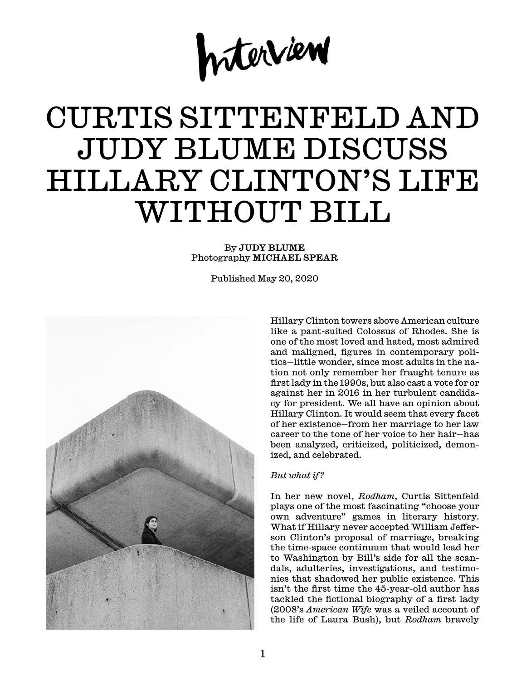

# CURTIS SITTENFELD AND JUDY BLUME DISCUSS HILLARY CLINTON'S LIFE WITHOUT BILL

## By JUDY BLUME Photography MICHAEL SPEAR

Published May 20, 2020



Hillary Clinton towers above American culture like a pant-suited Colossus of Rhodes. She is one of the most loved and hated, most admired and maligned, figures in contemporary politics—little wonder, since most adults in the nation not only remember her fraught tenure as first lady in the 1990s, but also cast a vote for or against her in 2016 in her turbulent candidacy for president. We all have an opinion about Hillary Clinton. It would seem that every facet of her existence—from her marriage to her law career to the tone of her voice to her hair—has been analyzed, criticized, politicized, demonized, and celebrated.

## *But what if?*

In her new novel, *Rodham*, Curtis Sittenfeld plays one of the most fascinating "choose your own adventure" games in literary history. What if Hillary never accepted William Jefferson Clinton's proposal of marriage, breaking the time-space continuum that would lead her to Washington by Bill's side for all the scandals, adulteries, investigations, and testimonies that shadowed her public existence. This isn't the first time the 45-year-old author has tackled the fictional biography of a first lady (2008's *American Wife* was a veiled account of the life of Laura Bush), but *Rodham* bravely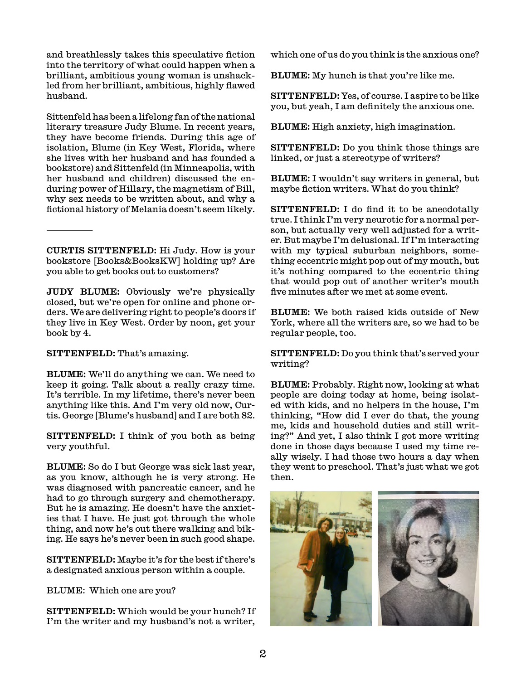and breathlessly takes this speculative fiction into the territory of what could happen when a brilliant, ambitious young woman is unshackled from her brilliant, ambitious, highly flawed husband.

Sittenfeld has been a lifelong fan of the national literary treasure Judy Blume. In recent years, they have become friends. During this age of isolation, Blume (in Key West, Florida, where she lives with her husband and has founded a bookstore) and Sittenfeld (in Minneapolis, with her husband and children) discussed the enduring power of Hillary, the magnetism of Bill, why sex needs to be written about, and why a fictional history of Melania doesn't seem likely.

CURTIS SITTENFELD: Hi Judy. How is your bookstore [Books&BooksKW] holding up? Are you able to get books out to customers?

JUDY BLUME: Obviously we're physically closed, but we're open for online and phone orders. We are delivering right to people's doors if they live in Key West. Order by noon, get your book by 4.

SITTENFELD: That's amazing.

———

BLUME: We'll do anything we can. We need to keep it going. Talk about a really crazy time. It's terrible. In my lifetime, there's never been anything like this. And I'm very old now, Curtis. George [Blume's husband] and I are both 82.

SITTENFELD: I think of you both as being very youthful.

BLUME: So do I but George was sick last year, as you know, although he is very strong. He was diagnosed with pancreatic cancer, and he had to go through surgery and chemotherapy. But he is amazing. He doesn't have the anxieties that I have. He just got through the whole thing, and now he's out there walking and biking. He says he's never been in such good shape.

SITTENFELD: Maybe it's for the best if there's a designated anxious person within a couple.

BLUME: Which one are you?

SITTENFELD: Which would be your hunch? If I'm the writer and my husband's not a writer,

which one of us do you think is the anxious one?

BLUME: My hunch is that you're like me.

SITTENFELD: Yes, of course. I aspire to be like you, but yeah, I am definitely the anxious one.

BLUME: High anxiety, high imagination.

SITTENFELD: Do you think those things are linked, or just a stereotype of writers?

BLUME: I wouldn't say writers in general, but maybe fiction writers. What do you think?

SITTENFELD: I do find it to be anecdotally true. I think I'm very neurotic for a normal person, but actually very well adjusted for a writer. But maybe I'm delusional. If I'm interacting with my typical suburban neighbors, something eccentric might pop out of my mouth, but it's nothing compared to the eccentric thing that would pop out of another writer's mouth five minutes after we met at some event.

BLUME: We both raised kids outside of New York, where all the writers are, so we had to be regular people, too.

SITTENFELD: Do you think that's served your writing?

BLUME: Probably. Right now, looking at what people are doing today at home, being isolated with kids, and no helpers in the house, I'm thinking, "How did I ever do that, the young me, kids and household duties and still writing?" And yet, I also think I got more writing done in those days because I used my time really wisely. I had those two hours a day when they went to preschool. That's just what we got then.

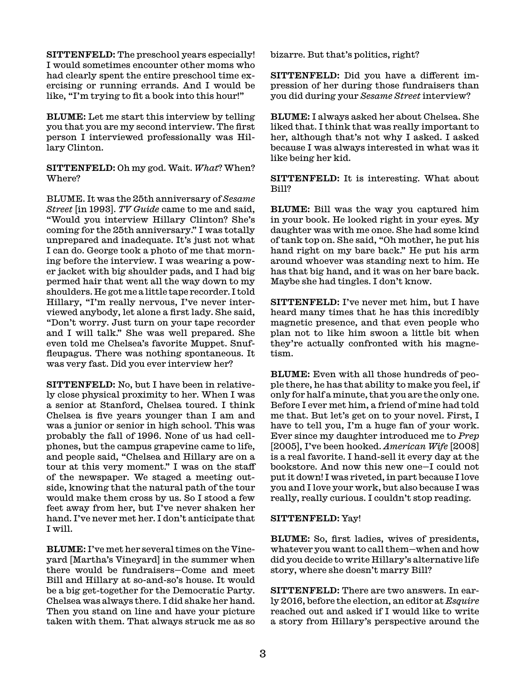SITTENFELD: The preschool years especially! I would sometimes encounter other moms who had clearly spent the entire preschool time exercising or running errands. And I would be like, "I'm trying to fit a book into this hour!"

BLUME: Let me start this interview by telling you that you are my second interview. The first person I interviewed professionally was Hillary Clinton.

SITTENFELD: Oh my god. Wait. *What*? When? Where?

BLUME. It was the 25th anniversary of *Sesame Street* [in 1993]. *TV Guide* came to me and said, "Would you interview Hillary Clinton? She's coming for the 25th anniversary." I was totally unprepared and inadequate. It's just not what I can do. George took a photo of me that morning before the interview. I was wearing a power jacket with big shoulder pads, and I had big permed hair that went all the way down to my shoulders. He got me a little tape recorder. I told Hillary, "I'm really nervous, I've never interviewed anybody, let alone a first lady. She said, "Don't worry. Just turn on your tape recorder and I will talk." She was well prepared. She even told me Chelsea's favorite Muppet. Snuffleupagus. There was nothing spontaneous. It was very fast. Did you ever interview her?

SITTENFELD: No, but I have been in relatively close physical proximity to her. When I was a senior at Stanford, Chelsea toured. I think Chelsea is five years younger than I am and was a junior or senior in high school. This was probably the fall of 1996. None of us had cellphones, but the campus grapevine came to life, and people said, "Chelsea and Hillary are on a tour at this very moment." I was on the staff of the newspaper. We staged a meeting outside, knowing that the natural path of the tour would make them cross by us. So I stood a few feet away from her, but I've never shaken her hand. I've never met her. I don't anticipate that I will.

BLUME: I've met her several times on the Vineyard [Martha's Vineyard] in the summer when there would be fundraisers—Come and meet Bill and Hillary at so-and-so's house. It would be a big get-together for the Democratic Party. Chelsea was always there. I did shake her hand. Then you stand on line and have your picture taken with them. That always struck me as so

bizarre. But that's politics, right?

SITTENFELD: Did you have a different impression of her during those fundraisers than you did during your *Sesame Street* interview?

BLUME: I always asked her about Chelsea. She liked that. I think that was really important to her, although that's not why I asked. I asked because I was always interested in what was it like being her kid.

SITTENFELD: It is interesting. What about Bill?

BLUME: Bill was the way you captured him in your book. He looked right in your eyes. My daughter was with me once. She had some kind of tank top on. She said, "Oh mother, he put his hand right on my bare back." He put his arm around whoever was standing next to him. He has that big hand, and it was on her bare back. Maybe she had tingles. I don't know.

SITTENFELD: I've never met him, but I have heard many times that he has this incredibly magnetic presence, and that even people who plan not to like him swoon a little bit when they're actually confronted with his magnetism.

BLUME: Even with all those hundreds of people there, he has that ability to make you feel, if only for half a minute, that you are the only one. Before I ever met him, a friend of mine had told me that. But let's get on to your novel. First, I have to tell you, I'm a huge fan of your work. Ever since my daughter introduced me to *Prep* [2005], I've been hooked. *American Wife* [2008] is a real favorite. I hand-sell it every day at the bookstore. And now this new one—I could not put it down! I was riveted, in part because I love you and I love your work, but also because I was really, really curious. I couldn't stop reading.

#### SITTENFELD: Yay!

BLUME: So, first ladies, wives of presidents, whatever you want to call them—when and how did you decide to write Hillary's alternative life story, where she doesn't marry Bill?

SITTENFELD: There are two answers. In early 2016, before the election, an editor at *Esquire* reached out and asked if I would like to write a story from Hillary's perspective around the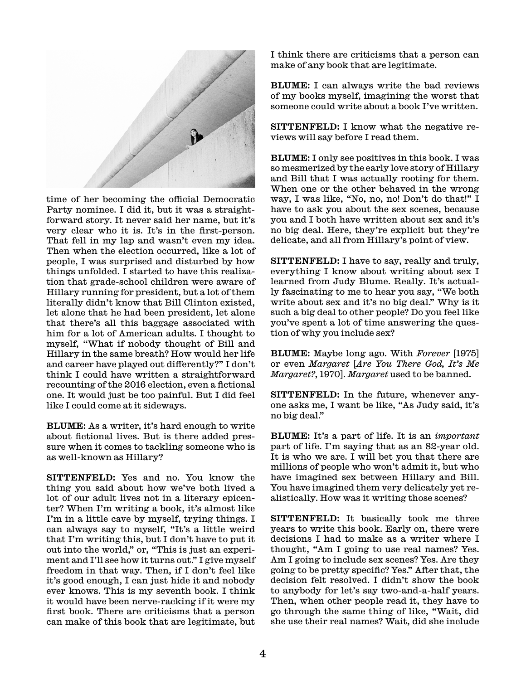

time of her becoming the official Democratic Party nominee. I did it, but it was a straightforward story. It never said her name, but it's very clear who it is. It's in the first-person. That fell in my lap and wasn't even my idea. Then when the election occurred, like a lot of people, I was surprised and disturbed by how things unfolded. I started to have this realization that grade-school children were aware of Hillary running for president, but a lot of them literally didn't know that Bill Clinton existed, let alone that he had been president, let alone that there's all this baggage associated with him for a lot of American adults. I thought to myself, "What if nobody thought of Bill and Hillary in the same breath? How would her life and career have played out differently?" I don't think I could have written a straightforward recounting of the 2016 election, even a fictional one. It would just be too painful. But I did feel like I could come at it sideways.

BLUME: As a writer, it's hard enough to write about fictional lives. But is there added pressure when it comes to tackling someone who is as well-known as Hillary?

SITTENFELD: Yes and no. You know the thing you said about how we've both lived a lot of our adult lives not in a literary epicenter? When I'm writing a book, it's almost like I'm in a little cave by myself, trying things. I can always say to myself, "It's a little weird that I'm writing this, but I don't have to put it out into the world," or, "This is just an experiment and I'll see how it turns out." I give myself freedom in that way. Then, if I don't feel like it's good enough, I can just hide it and nobody ever knows. This is my seventh book. I think it would have been nerve-racking if it were my first book. There are criticisms that a person can make of this book that are legitimate, but

I think there are criticisms that a person can make of any book that are legitimate.

BLUME: I can always write the bad reviews of my books myself, imagining the worst that someone could write about a book I've written.

SITTENFELD: I know what the negative reviews will say before I read them.

BLUME: I only see positives in this book. I was so mesmerized by the early love story of Hillary and Bill that I was actually rooting for them. When one or the other behaved in the wrong way, I was like, "No, no, no! Don't do that!" I have to ask you about the sex scenes, because you and I both have written about sex and it's no big deal. Here, they're explicit but they're delicate, and all from Hillary's point of view.

SITTENFELD: I have to say, really and truly, everything I know about writing about sex I learned from Judy Blume. Really. It's actually fascinating to me to hear you say, "We both write about sex and it's no big deal." Why is it such a big deal to other people? Do you feel like you've spent a lot of time answering the question of why you include sex?

BLUME: Maybe long ago. With *Forever* [1975] or even *Margaret* [*Are You There God, It's Me Margaret?*, 1970]. *Margaret* used to be banned.

SITTENFELD: In the future, whenever anyone asks me, I want be like, "As Judy said, it's no big deal."

BLUME: It's a part of life. It is an *important* part of life. I'm saying that as an 82-year old. It is who we are. I will bet you that there are millions of people who won't admit it, but who have imagined sex between Hillary and Bill. You have imagined them very delicately yet realistically. How was it writing those scenes?

SITTENFELD: It basically took me three years to write this book. Early on, there were decisions I had to make as a writer where I thought, "Am I going to use real names? Yes. Am I going to include sex scenes? Yes. Are they going to be pretty specific? Yes." After that, the decision felt resolved. I didn't show the book to anybody for let's say two-and-a-half years. Then, when other people read it, they have to go through the same thing of like, "Wait, did she use their real names? Wait, did she include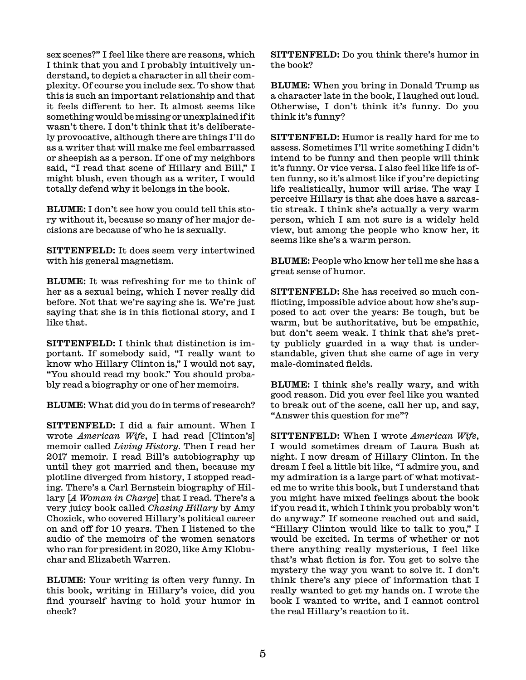sex scenes?" I feel like there are reasons, which I think that you and I probably intuitively understand, to depict a character in all their complexity. Of course you include sex. To show that this is such an important relationship and that it feels different to her. It almost seems like something would be missing or unexplained if it wasn't there. I don't think that it's deliberately provocative, although there are things I'll do as a writer that will make me feel embarrassed or sheepish as a person. If one of my neighbors said, "I read that scene of Hillary and Bill," I might blush, even though as a writer, I would totally defend why it belongs in the book.

BLUME: I don't see how you could tell this story without it, because so many of her major decisions are because of who he is sexually.

SITTENFELD: It does seem very intertwined with his general magnetism.

BLUME: It was refreshing for me to think of her as a sexual being, which I never really did before. Not that we're saying she is. We're just saying that she is in this fictional story, and I like that.

SITTENFELD: I think that distinction is important. If somebody said, "I really want to know who Hillary Clinton is," I would not say, "You should read my book." You should probably read a biography or one of her memoirs.

BLUME: What did you do in terms of research?

SITTENFELD: I did a fair amount. When I wrote *American Wife*, I had read [Clinton's] memoir called *Living History*. Then I read her 2017 memoir. I read Bill's autobiography up until they got married and then, because my plotline diverged from history, I stopped reading. There's a Carl Bernstein biography of Hillary [*A Woman in Charge*] that I read. There's a very juicy book called *Chasing Hillary* by Amy Chozick, who covered Hillary's political career on and off for 10 years. Then I listened to the audio of the memoirs of the women senators who ran for president in 2020, like Amy Klobuchar and Elizabeth Warren.

BLUME: Your writing is often very funny. In this book, writing in Hillary's voice, did you find yourself having to hold your humor in check?

SITTENFELD: Do you think there's humor in the book?

BLUME: When you bring in Donald Trump as a character late in the book, I laughed out loud. Otherwise, I don't think it's funny. Do you think it's funny?

SITTENFELD: Humor is really hard for me to assess. Sometimes I'll write something I didn't intend to be funny and then people will think it's funny. Or vice versa. I also feel like life is often funny, so it's almost like if you're depicting life realistically, humor will arise. The way I perceive Hillary is that she does have a sarcastic streak. I think she's actually a very warm person, which I am not sure is a widely held view, but among the people who know her, it seems like she's a warm person.

BLUME: People who know her tell me she has a great sense of humor.

SITTENFELD: She has received so much conflicting, impossible advice about how she's supposed to act over the years: Be tough, but be warm, but be authoritative, but be empathic, but don't seem weak. I think that she's pretty publicly guarded in a way that is understandable, given that she came of age in very male-dominated fields.

BLUME: I think she's really wary, and with good reason. Did you ever feel like you wanted to break out of the scene, call her up, and say, "Answer this question for me"?

SITTENFELD: When I wrote *American Wife*, I would sometimes dream of Laura Bush at night. I now dream of Hillary Clinton. In the dream I feel a little bit like, "I admire you, and my admiration is a large part of what motivated me to write this book, but I understand that you might have mixed feelings about the book if you read it, which I think you probably won't do anyway." If someone reached out and said, "Hillary Clinton would like to talk to you," I would be excited. In terms of whether or not there anything really mysterious, I feel like that's what fiction is for. You get to solve the mystery the way you want to solve it. I don't think there's any piece of information that I really wanted to get my hands on. I wrote the book I wanted to write, and I cannot control the real Hillary's reaction to it.